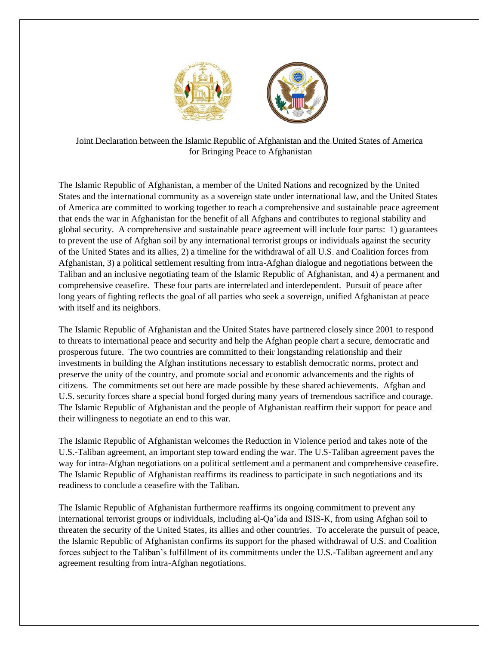

Joint Declaration between the Islamic Republic of Afghanistan and the United States of America for Bringing Peace to Afghanistan

The Islamic Republic of Afghanistan, a member of the United Nations and recognized by the United States and the international community as a sovereign state under international law, and the United States of America are committed to working together to reach a comprehensive and sustainable peace agreement that ends the war in Afghanistan for the benefit of all Afghans and contributes to regional stability and global security. A comprehensive and sustainable peace agreement will include four parts: 1) guarantees to prevent the use of Afghan soil by any international terrorist groups or individuals against the security of the United States and its allies, 2) a timeline for the withdrawal of all U.S. and Coalition forces from Afghanistan, 3) a political settlement resulting from intra-Afghan dialogue and negotiations between the Taliban and an inclusive negotiating team of the Islamic Republic of Afghanistan, and 4) a permanent and comprehensive ceasefire. These four parts are interrelated and interdependent. Pursuit of peace after long years of fighting reflects the goal of all parties who seek a sovereign, unified Afghanistan at peace with itself and its neighbors.

The Islamic Republic of Afghanistan and the United States have partnered closely since 2001 to respond to threats to international peace and security and help the Afghan people chart a secure, democratic and prosperous future. The two countries are committed to their longstanding relationship and their investments in building the Afghan institutions necessary to establish democratic norms, protect and preserve the unity of the country, and promote social and economic advancements and the rights of citizens. The commitments set out here are made possible by these shared achievements. Afghan and U.S. security forces share a special bond forged during many years of tremendous sacrifice and courage. The Islamic Republic of Afghanistan and the people of Afghanistan reaffirm their support for peace and their willingness to negotiate an end to this war.

The Islamic Republic of Afghanistan welcomes the Reduction in Violence period and takes note of the U.S.-Taliban agreement, an important step toward ending the war. The U.S-Taliban agreement paves the way for intra-Afghan negotiations on a political settlement and a permanent and comprehensive ceasefire. The Islamic Republic of Afghanistan reaffirms its readiness to participate in such negotiations and its readiness to conclude a ceasefire with the Taliban.

The Islamic Republic of Afghanistan furthermore reaffirms its ongoing commitment to prevent any international terrorist groups or individuals, including al-Qa'ida and ISIS-K, from using Afghan soil to threaten the security of the United States, its allies and other countries. To accelerate the pursuit of peace, the Islamic Republic of Afghanistan confirms its support for the phased withdrawal of U.S. and Coalition forces subject to the Taliban's fulfillment of its commitments under the U.S.-Taliban agreement and any agreement resulting from intra-Afghan negotiations.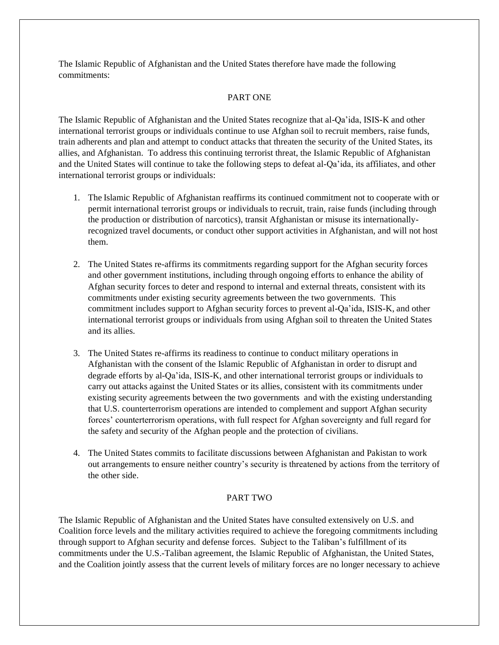The Islamic Republic of Afghanistan and the United States therefore have made the following commitments:

## PART ONE

The Islamic Republic of Afghanistan and the United States recognize that al-Qa'ida, ISIS-K and other international terrorist groups or individuals continue to use Afghan soil to recruit members, raise funds, train adherents and plan and attempt to conduct attacks that threaten the security of the United States, its allies, and Afghanistan. To address this continuing terrorist threat, the Islamic Republic of Afghanistan and the United States will continue to take the following steps to defeat al-Qa'ida, its affiliates, and other international terrorist groups or individuals:

- 1. The Islamic Republic of Afghanistan reaffirms its continued commitment not to cooperate with or permit international terrorist groups or individuals to recruit, train, raise funds (including through the production or distribution of narcotics), transit Afghanistan or misuse its internationallyrecognized travel documents, or conduct other support activities in Afghanistan, and will not host them.
- 2. The United States re-affirms its commitments regarding support for the Afghan security forces and other government institutions, including through ongoing efforts to enhance the ability of Afghan security forces to deter and respond to internal and external threats, consistent with its commitments under existing security agreements between the two governments. This commitment includes support to Afghan security forces to prevent al-Qa'ida, ISIS-K, and other international terrorist groups or individuals from using Afghan soil to threaten the United States and its allies.
- 3. The United States re-affirms its readiness to continue to conduct military operations in Afghanistan with the consent of the Islamic Republic of Afghanistan in order to disrupt and degrade efforts by al-Qa'ida, ISIS-K, and other international terrorist groups or individuals to carry out attacks against the United States or its allies, consistent with its commitments under existing security agreements between the two governments and with the existing understanding that U.S. counterterrorism operations are intended to complement and support Afghan security forces' counterterrorism operations, with full respect for Afghan sovereignty and full regard for the safety and security of the Afghan people and the protection of civilians.
- 4. The United States commits to facilitate discussions between Afghanistan and Pakistan to work out arrangements to ensure neither country's security is threatened by actions from the territory of the other side.

## PART TWO

The Islamic Republic of Afghanistan and the United States have consulted extensively on U.S. and Coalition force levels and the military activities required to achieve the foregoing commitments including through support to Afghan security and defense forces. Subject to the Taliban's fulfillment of its commitments under the U.S.-Taliban agreement, the Islamic Republic of Afghanistan, the United States, and the Coalition jointly assess that the current levels of military forces are no longer necessary to achieve